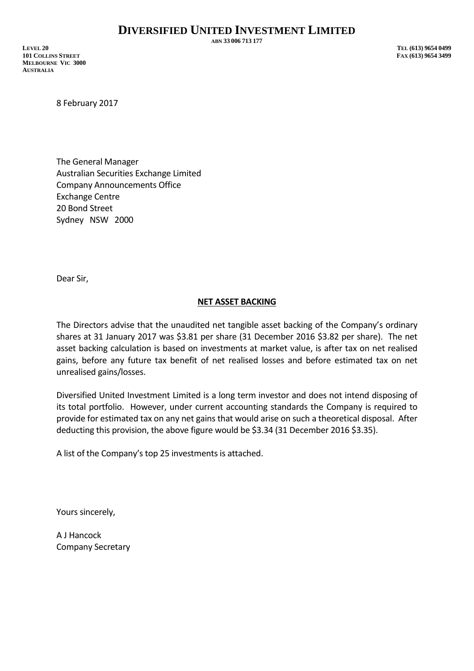**ABN 33 006 713 177**

**LEVEL 20 TEL (613) 9654 0499 101 COLLINS STREET FAX (613) 9654 3499 MELBOURNE VIC 3000 AUSTRALIA**

8 February 2017

The General Manager Australian Securities Exchange Limited Company Announcements Office Exchange Centre 20 Bond Street Sydney NSW 2000

Dear Sir,

## **NET ASSET BACKING**

The Directors advise that the unaudited net tangible asset backing of the Company's ordinary shares at 31 January 2017 was \$3.81 per share (31 December 2016 \$3.82 per share). The net asset backing calculation is based on investments at market value, is after tax on net realised gains, before any future tax benefit of net realised losses and before estimated tax on net unrealised gains/losses.

Diversified United Investment Limited is a long term investor and does not intend disposing of its total portfolio. However, under current accounting standards the Company is required to provide for estimated tax on any net gains that would arise on such a theoretical disposal. After deducting this provision, the above figure would be \$3.34 (31 December 2016 \$3.35).

A list of the Company's top 25 investments is attached.

Yours sincerely,

A J Hancock Company Secretary